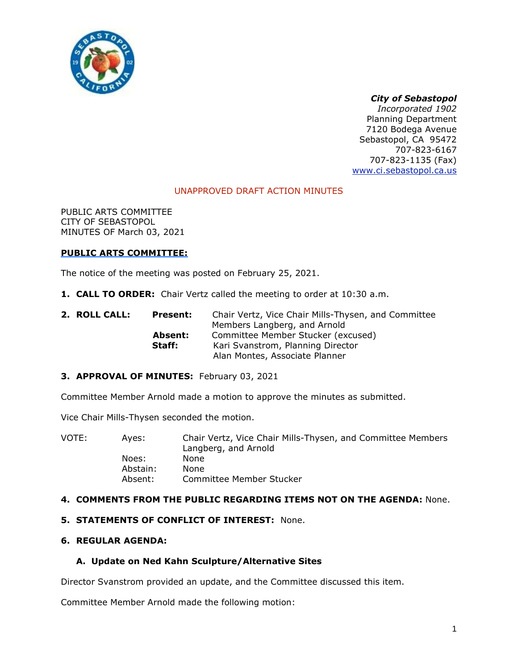

# *City of Sebastopol*

*Incorporated 1902* Planning Department 7120 Bodega Avenue Sebastopol, CA 95472 707-823-6167 707-823-1135 (Fax) [www.ci.sebastopol.ca.us](http://www.ci.sebastopol.ca.us/)

# UNAPPROVED DRAFT ACTION MINUTES

PUBLIC ARTS COMMITTEE CITY OF SEBASTOPOL MINUTES OF March 03, 2021

#### **PUBLIC ARTS COMMITTEE:**

The notice of the meeting was posted on February 25, 2021.

- **1. CALL TO ORDER:** Chair Vertz called the meeting to order at 10:30 a.m.
- **2. ROLL CALL: Present:** Chair Vertz, Vice Chair Mills-Thysen, and Committee Members Langberg, and Arnold **Absent:** Committee Member Stucker (excused) **Staff:** Kari Svanstrom, Planning Director Alan Montes, Associate Planner

#### **3. APPROVAL OF MINUTES:** February 03, 2021

Committee Member Arnold made a motion to approve the minutes as submitted.

Vice Chair Mills-Thysen seconded the motion.

| VOTE: | Aves:    | Chair Vertz, Vice Chair Mills-Thysen, and Committee Members<br>Langberg, and Arnold |
|-------|----------|-------------------------------------------------------------------------------------|
|       | Noes:    | None                                                                                |
|       | Abstain: | <b>None</b>                                                                         |
|       | Absent:  | Committee Member Stucker                                                            |

#### **4. COMMENTS FROM THE PUBLIC REGARDING ITEMS NOT ON THE AGENDA:** None.

#### **5. STATEMENTS OF CONFLICT OF INTEREST:** None.

## **6. REGULAR AGENDA:**

#### **A. Update on Ned Kahn Sculpture/Alternative Sites**

Director Svanstrom provided an update, and the Committee discussed this item.

Committee Member Arnold made the following motion: